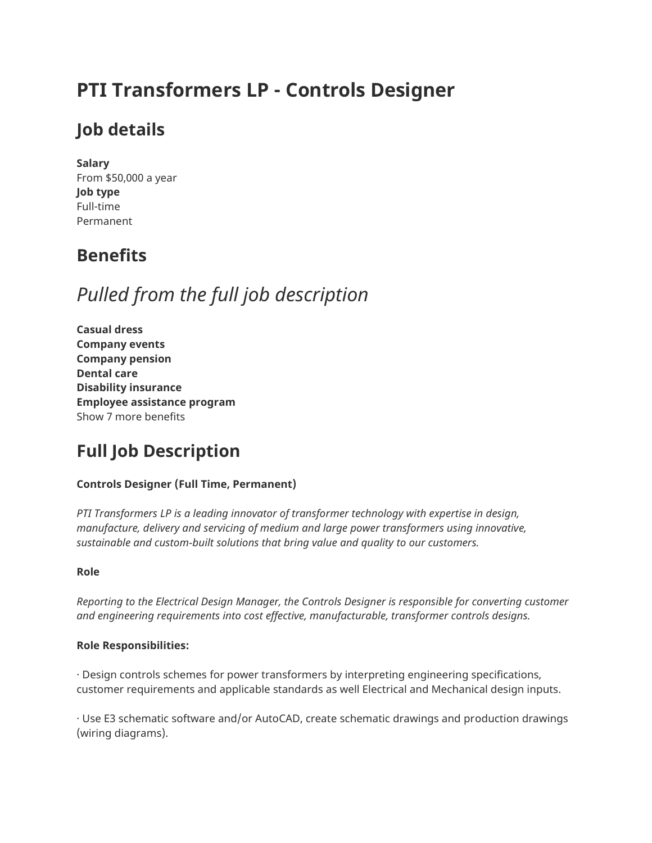# **PTI Transformers LP - Controls Designer**

## **Job details**

**Salary** From \$50,000 a year **Job type** Full-time Permanent

## **Benefits**

# *Pulled from the full job description*

**Casual dress Company events Company pension Dental care Disability insurance Employee assistance program** Show 7 more benefits

# **Full Job Description**

### **Controls Designer (Full Time, Permanent)**

*PTI Transformers LP is a leading innovator of transformer technology with expertise in design, manufacture, delivery and servicing of medium and large power transformers using innovative, sustainable and custom-built solutions that bring value and quality to our customers.*

### **Role**

*Reporting to the Electrical Design Manager, the Controls Designer is responsible for converting customer and engineering requirements into cost effective, manufacturable, transformer controls designs.*

### **Role Responsibilities:**

· Design controls schemes for power transformers by interpreting engineering specifications, customer requirements and applicable standards as well Electrical and Mechanical design inputs.

· Use E3 schematic software and/or AutoCAD, create schematic drawings and production drawings (wiring diagrams).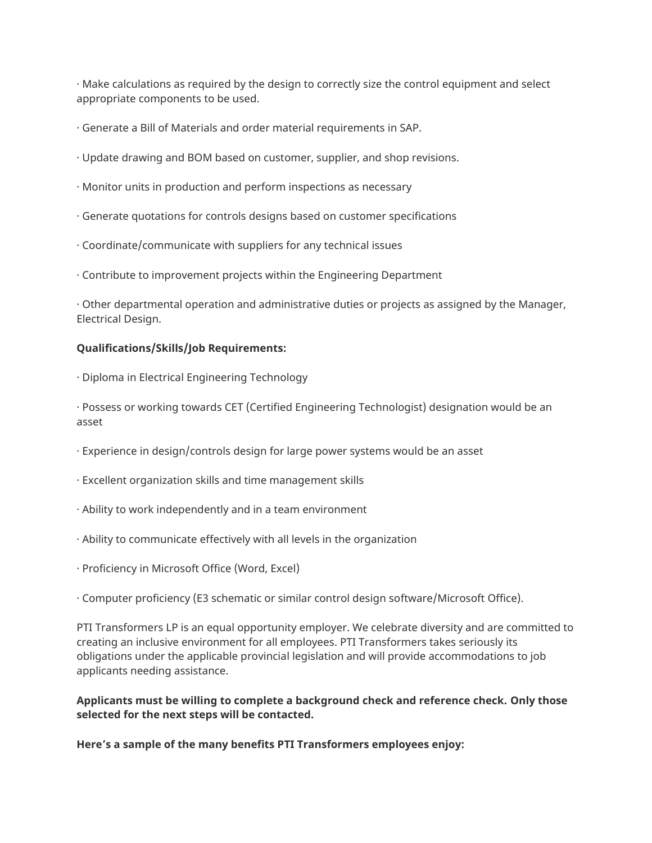· Make calculations as required by the design to correctly size the control equipment and select appropriate components to be used.

- · Generate a Bill of Materials and order material requirements in SAP.
- · Update drawing and BOM based on customer, supplier, and shop revisions.
- · Monitor units in production and perform inspections as necessary
- · Generate quotations for controls designs based on customer specifications
- · Coordinate/communicate with suppliers for any technical issues
- · Contribute to improvement projects within the Engineering Department

· Other departmental operation and administrative duties or projects as assigned by the Manager, Electrical Design.

#### **Qualifications/Skills/Job Requirements:**

· Diploma in Electrical Engineering Technology

· Possess or working towards CET (Certified Engineering Technologist) designation would be an asset

- · Experience in design/controls design for large power systems would be an asset
- · Excellent organization skills and time management skills
- · Ability to work independently and in a team environment
- · Ability to communicate effectively with all levels in the organization
- · Proficiency in Microsoft Office (Word, Excel)

· Computer proficiency (E3 schematic or similar control design software/Microsoft Office).

PTI Transformers LP is an equal opportunity employer. We celebrate diversity and are committed to creating an inclusive environment for all employees. PTI Transformers takes seriously its obligations under the applicable provincial legislation and will provide accommodations to job applicants needing assistance.

**Applicants must be willing to complete a background check and reference check. Only those selected for the next steps will be contacted.**

**Here's a sample of the many benefits PTI Transformers employees enjoy:**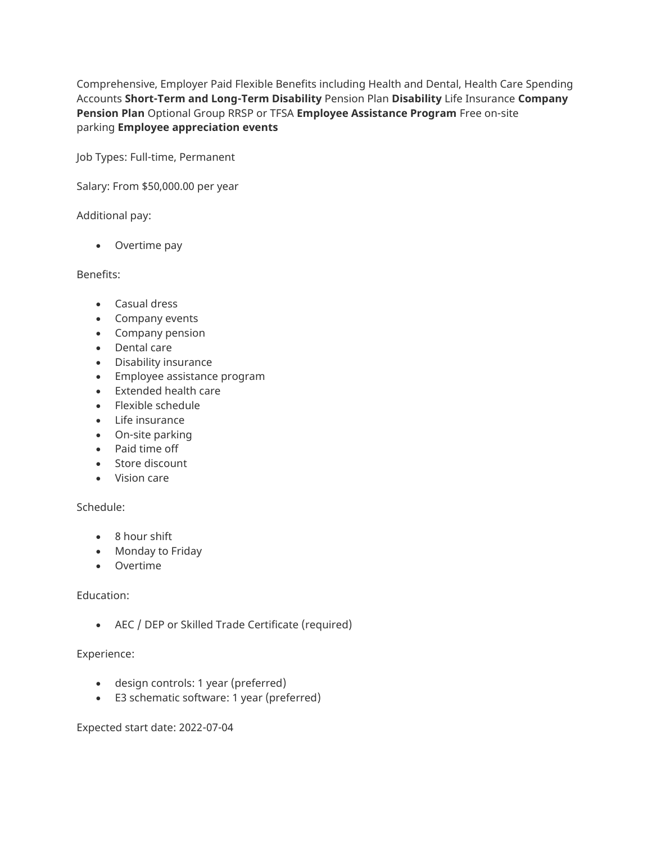Comprehensive, Employer Paid Flexible Benefits including Health and Dental, Health Care Spending Accounts **Short-Term and Long-Term Disability** Pension Plan **Disability** Life Insurance **Company Pension Plan** Optional Group RRSP or TFSA **Employee Assistance Program** Free on-site parking **Employee appreciation events**

Job Types: Full-time, Permanent

Salary: From \$50,000.00 per year

#### Additional pay:

• Overtime pay

#### Benefits:

- Casual dress
- Company events
- Company pension
- Dental care
- Disability insurance
- Employee assistance program
- Extended health care
- Flexible schedule
- Life insurance
- On-site parking
- Paid time off
- Store discount
- Vision care

#### Schedule:

- 8 hour shift
- Monday to Friday
- Overtime

#### Education:

• AEC / DEP or Skilled Trade Certificate (required)

#### Experience:

- design controls: 1 year (preferred)
- E3 schematic software: 1 year (preferred)

Expected start date: 2022-07-04